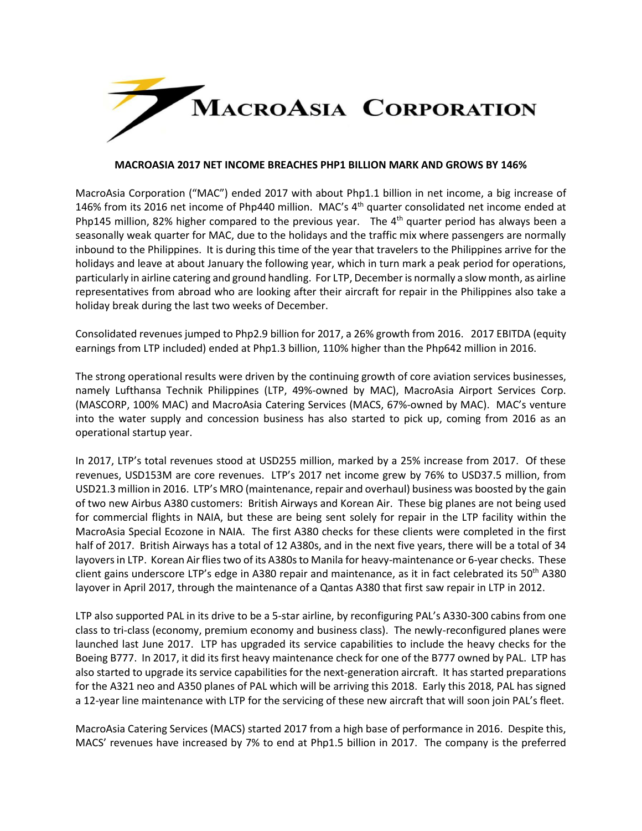

## **MACROASIA 2017 NET INCOME BREACHES PHP1 BILLION MARK AND GROWS BY 146%**

MacroAsia Corporation ("MAC") ended 2017 with about Php1.1 billion in net income, a big increase of 146% from its 2016 net income of Php440 million. MAC's 4<sup>th</sup> quarter consolidated net income ended at Php145 million, 82% higher compared to the previous year. The 4<sup>th</sup> quarter period has always been a seasonally weak quarter for MAC, due to the holidays and the traffic mix where passengers are normally inbound to the Philippines. It is during this time of the year that travelers to the Philippines arrive for the holidays and leave at about January the following year, which in turn mark a peak period for operations, particularly in airline catering and ground handling. For LTP, December is normally a slow month, as airline representatives from abroad who are looking after their aircraft for repair in the Philippines also take a holiday break during the last two weeks of December.

Consolidated revenues jumped to Php2.9 billion for 2017, a 26% growth from 2016. 2017 EBITDA (equity earnings from LTP included) ended at Php1.3 billion, 110% higher than the Php642 million in 2016.

The strong operational results were driven by the continuing growth of core aviation services businesses, namely Lufthansa Technik Philippines (LTP, 49%-owned by MAC), MacroAsia Airport Services Corp. (MASCORP, 100% MAC) and MacroAsia Catering Services (MACS, 67%-owned by MAC). MAC's venture into the water supply and concession business has also started to pick up, coming from 2016 as an operational startup year.

In 2017, LTP's total revenues stood at USD255 million, marked by a 25% increase from 2017. Of these revenues, USD153M are core revenues. LTP's 2017 net income grew by 76% to USD37.5 million, from USD21.3 million in 2016. LTP's MRO (maintenance, repair and overhaul) business was boosted by the gain of two new Airbus A380 customers: British Airways and Korean Air. These big planes are not being used for commercial flights in NAIA, but these are being sent solely for repair in the LTP facility within the MacroAsia Special Ecozone in NAIA. The first A380 checks for these clients were completed in the first half of 2017. British Airways has a total of 12 A380s, and in the next five years, there will be a total of 34 layovers in LTP. Korean Air flies two of its A380s to Manila for heavy-maintenance or 6-year checks. These client gains underscore LTP's edge in A380 repair and maintenance, as it in fact celebrated its 50<sup>th</sup> A380 layover in April 2017, through the maintenance of a Qantas A380 that first saw repair in LTP in 2012.

LTP also supported PAL in its drive to be a 5-star airline, by reconfiguring PAL's A330-300 cabins from one class to tri-class (economy, premium economy and business class). The newly-reconfigured planes were launched last June 2017. LTP has upgraded its service capabilities to include the heavy checks for the Boeing B777. In 2017, it did its first heavy maintenance check for one of the B777 owned by PAL. LTP has also started to upgrade its service capabilities for the next-generation aircraft. It has started preparations for the A321 neo and A350 planes of PAL which will be arriving this 2018. Early this 2018, PAL has signed a 12-year line maintenance with LTP for the servicing of these new aircraft that will soon join PAL's fleet.

MacroAsia Catering Services (MACS) started 2017 from a high base of performance in 2016. Despite this, MACS' revenues have increased by 7% to end at Php1.5 billion in 2017. The company is the preferred